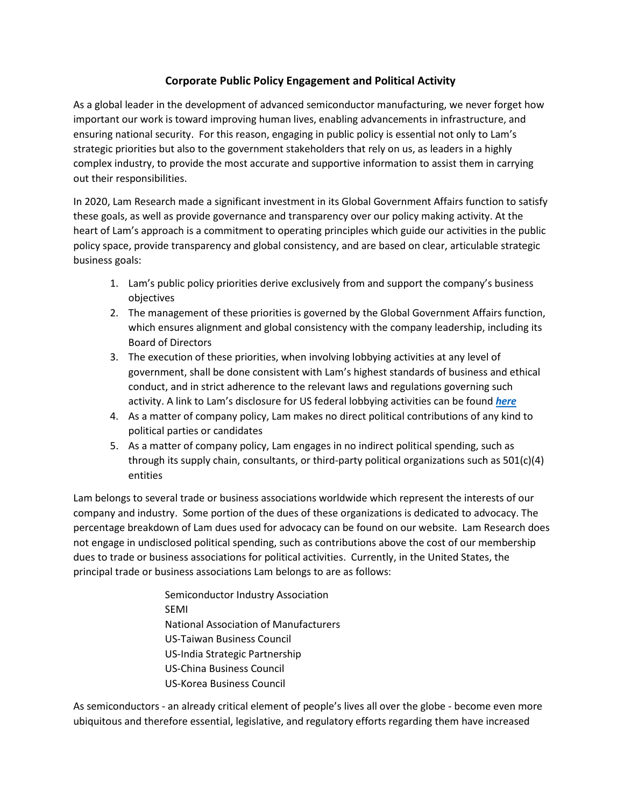## **Corporate Public Policy Engagement and Political Activity**

As a global leader in the development of advanced semiconductor manufacturing, we never forget how important our work is toward improving human lives, enabling advancements in infrastructure, and ensuring national security. For this reason, engaging in public policy is essential not only to Lam's strategic priorities but also to the government stakeholders that rely on us, as leaders in a highly complex industry, to provide the most accurate and supportive information to assist them in carrying out their responsibilities.

In 2020, Lam Research made a significant investment in its Global Government Affairs function to satisfy these goals, as well as provide governance and transparency over our policy making activity. At the heart of Lam's approach is a commitment to operating principles which guide our activities in the public policy space, provide transparency and global consistency, and are based on clear, articulable strategic business goals:

- 1. Lam's public policy priorities derive exclusively from and support the company's business objectives
- 2. The management of these priorities is governed by the Global Government Affairs function, which ensures alignment and global consistency with the company leadership, including its Board of Directors
- 3. The execution of these priorities, when involving lobbying activities at any level of government, shall be done consistent with Lam's highest standards of business and ethical conduct, and in strict adherence to the relevant laws and regulations governing such activity. A link to Lam's disclosure for US federal lobbying activities can be found *[here](https://lda.senate.gov/system/public/)*
- 4. As a matter of company policy, Lam makes no direct political contributions of any kind to political parties or candidates
- 5. As a matter of company policy, Lam engages in no indirect political spending, such as through its supply chain, consultants, or third-party political organizations such as 501(c)(4) entities

Lam belongs to several trade or business associations worldwide which represent the interests of our company and industry. Some portion of the dues of these organizations is dedicated to advocacy. The percentage breakdown of Lam dues used for advocacy can be found on our website. Lam Research does not engage in undisclosed political spending, such as contributions above the cost of our membership dues to trade or business associations for political activities. Currently, in the United States, the principal trade or business associations Lam belongs to are as follows:

> Semiconductor Industry Association SEMI National Association of Manufacturers US-Taiwan Business Council US-India Strategic Partnership US-China Business Council US-Korea Business Council

As semiconductors - an already critical element of people's lives all over the globe - become even more ubiquitous and therefore essential, legislative, and regulatory efforts regarding them have increased